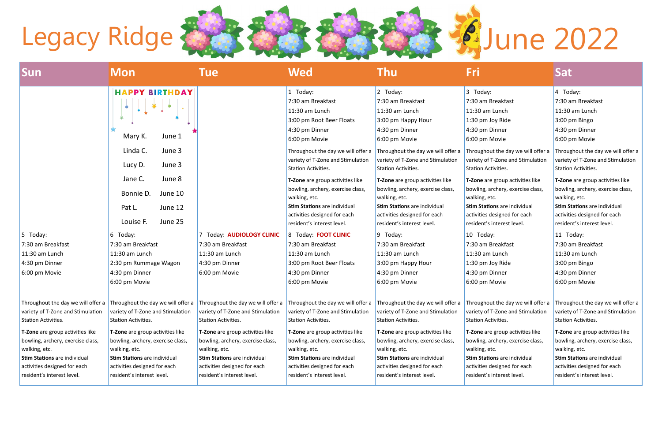| Sun                                                      | Mon                                                      | <b>Tue</b>                                                                                                                                                                                                                                                                                 | Wed                                                      | <b>Thu</b>                                               | Fri                                                      | <b>Sat</b>                                               |
|----------------------------------------------------------|----------------------------------------------------------|--------------------------------------------------------------------------------------------------------------------------------------------------------------------------------------------------------------------------------------------------------------------------------------------|----------------------------------------------------------|----------------------------------------------------------|----------------------------------------------------------|----------------------------------------------------------|
|                                                          | <b>HAPPY BIRTHDAY</b>                                    |                                                                                                                                                                                                                                                                                            | 1 Today:                                                 | 2 Today:                                                 | 3 Today:                                                 | $4$ Today:                                               |
|                                                          |                                                          |                                                                                                                                                                                                                                                                                            | 7:30 am Breakfast                                        | 7:30 am Breakfast                                        | 7:30 am Breakfast                                        | 7:30 am Breakfast                                        |
|                                                          | $\bullet$                                                |                                                                                                                                                                                                                                                                                            | 11:30 am Lunch                                           | 11:30 am Lunch                                           | 11:30 am Lunch                                           | 11:30 am Lunch                                           |
|                                                          |                                                          |                                                                                                                                                                                                                                                                                            | 3:00 pm Root Beer Floats                                 | 3:00 pm Happy Hour                                       | 1:30 pm Joy Ride                                         | 3:00 pm Bingo                                            |
|                                                          |                                                          |                                                                                                                                                                                                                                                                                            | 4:30 pm Dinner                                           | 4:30 pm Dinner                                           | 4:30 pm Dinner                                           | 4:30 pm Dinner                                           |
|                                                          | Mary K.<br>June 1                                        |                                                                                                                                                                                                                                                                                            | 6:00 pm Movie                                            | 6:00 pm Movie                                            | 6:00 pm Movie                                            | 6:00 pm Movie                                            |
|                                                          | Linda C.<br>June 3                                       |                                                                                                                                                                                                                                                                                            | Throughout the day we will offer a                       | Throughout the day we will offer a                       | Throughout the day we will offer a                       | Throughout the day we will offer a                       |
|                                                          |                                                          |                                                                                                                                                                                                                                                                                            | variety of T-Zone and Stimulation                        | variety of T-Zone and Stimulation                        | variety of T-Zone and Stimulation                        | variety of T-Zone and Stimulation                        |
|                                                          | June 3<br>Lucy D.                                        |                                                                                                                                                                                                                                                                                            | Station Activities.                                      | Station Activities.                                      | Station Activities.                                      | Station Activities.                                      |
|                                                          | Jane C.<br>June 8                                        |                                                                                                                                                                                                                                                                                            | T-Zone are group activities like                         | T-Zone are group activities like                         | T-Zone are group activities like                         | T-Zone are group activities like                         |
|                                                          | Bonnie D.<br>June 10                                     |                                                                                                                                                                                                                                                                                            | bowling, archery, exercise class,                        | bowling, archery, exercise class,                        | bowling, archery, exercise class,                        | bowling, archery, exercise class,                        |
|                                                          |                                                          |                                                                                                                                                                                                                                                                                            | walking, etc.                                            | walking, etc.                                            | walking, etc.                                            | walking, etc.                                            |
|                                                          | June 12<br>Pat L.                                        |                                                                                                                                                                                                                                                                                            | <b>Stim Stations</b> are individual                      | <b>Stim Stations</b> are individual                      | <b>Stim Stations</b> are individual                      | <b>Stim Stations</b> are individual                      |
|                                                          |                                                          |                                                                                                                                                                                                                                                                                            | activities designed for each                             | activities designed for each                             | activities designed for each                             | activities designed for each                             |
|                                                          | June 25<br>Louise F.                                     |                                                                                                                                                                                                                                                                                            | resident's interest level.                               | resident's interest level.                               | resident's interest level.                               | resident's interest level.                               |
| $5$ Today:                                               | 6 Today:                                                 | 7 Today: AUDIOLOGY CLINIC                                                                                                                                                                                                                                                                  | 8 Today: FOOT CLINIC                                     | 9 Today:                                                 | 10 Today:                                                | 11 Today:                                                |
| 7:30 am Breakfast                                        | 7:30 am Breakfast                                        | 7:30 am Breakfast                                                                                                                                                                                                                                                                          | 7:30 am Breakfast                                        | 7:30 am Breakfast                                        | 7:30 am Breakfast                                        | 7:30 am Breakfast                                        |
| $11:30$ am Lunch                                         | 11:30 am Lunch                                           | 11:30 am Lunch                                                                                                                                                                                                                                                                             | 11:30 am Lunch                                           | 11:30 am Lunch                                           | 11:30 am Lunch                                           | 11:30 am Lunch                                           |
| 4:30 pm Dinner                                           | 2:30 pm Rummage Wagon                                    | 4:30 pm Dinner                                                                                                                                                                                                                                                                             | 3:00 pm Root Beer Floats                                 | 3:00 pm Happy Hour                                       | 1:30 pm Joy Ride                                         | $3:00$ pm Bingo                                          |
| 6:00 pm Movie                                            | 4:30 pm Dinner                                           | 6:00 pm Movie                                                                                                                                                                                                                                                                              | 4:30 pm Dinner                                           | 4:30 pm Dinner                                           | 4:30 pm Dinner                                           | 4:30 pm Dinner                                           |
|                                                          | 6:00 pm Movie                                            |                                                                                                                                                                                                                                                                                            | 6:00 pm Movie                                            | 6:00 pm Movie                                            | 6:00 pm Movie                                            | 6:00 pm Movie                                            |
| variety of T-Zone and Stimulation<br>Station Activities. | variety of T-Zone and Stimulation<br>Station Activities. | Throughout the day we will offer a Throughout the day we will offer a Throughout the day we will offer a Throughout the day we will offer a Throughout the day we will offer a Throughout the day we will offer a Throughout t<br>variety of T-Zone and Stimulation<br>Station Activities. | variety of T-Zone and Stimulation<br>Station Activities. | variety of T-Zone and Stimulation<br>Station Activities. | variety of T-Zone and Stimulation<br>Station Activities. | variety of T-Zone and Stimulation<br>Station Activities. |
| T-Zone are group activities like                         | T-Zone are group activities like                         | T-Zone are group activities like                                                                                                                                                                                                                                                           | T-Zone are group activities like                         | T-Zone are group activities like                         | T-Zone are group activities like                         | T-Zone are group activities like                         |
| bowling, archery, exercise class,                        | bowling, archery, exercise class,                        | bowling, archery, exercise class,                                                                                                                                                                                                                                                          | bowling, archery, exercise class,                        | bowling, archery, exercise class,                        | bowling, archery, exercise class,                        | bowling, archery, exercise class,                        |
| walking, etc.                                            | walking, etc.                                            | walking, etc.                                                                                                                                                                                                                                                                              | walking, etc.                                            | walking, etc.                                            | walking, etc.                                            | walking, etc.                                            |
| <b>Stim Stations</b> are individual                      | Stim Stations are individual                             | <b>Stim Stations</b> are individual                                                                                                                                                                                                                                                        | <b>Stim Stations</b> are individual                      | <b>Stim Stations</b> are individual                      | <b>Stim Stations</b> are individual                      | <b>Stim Stations</b> are individual                      |
| activities designed for each                             | activities designed for each                             | activities designed for each                                                                                                                                                                                                                                                               | activities designed for each                             | activities designed for each                             | activities designed for each                             | activities designed for each                             |
| resident's interest level.                               | resident's interest level.                               | resident's interest level.                                                                                                                                                                                                                                                                 | resident's interest level.                               | resident's interest level.                               | resident's interest level.                               | resident's interest level.                               |